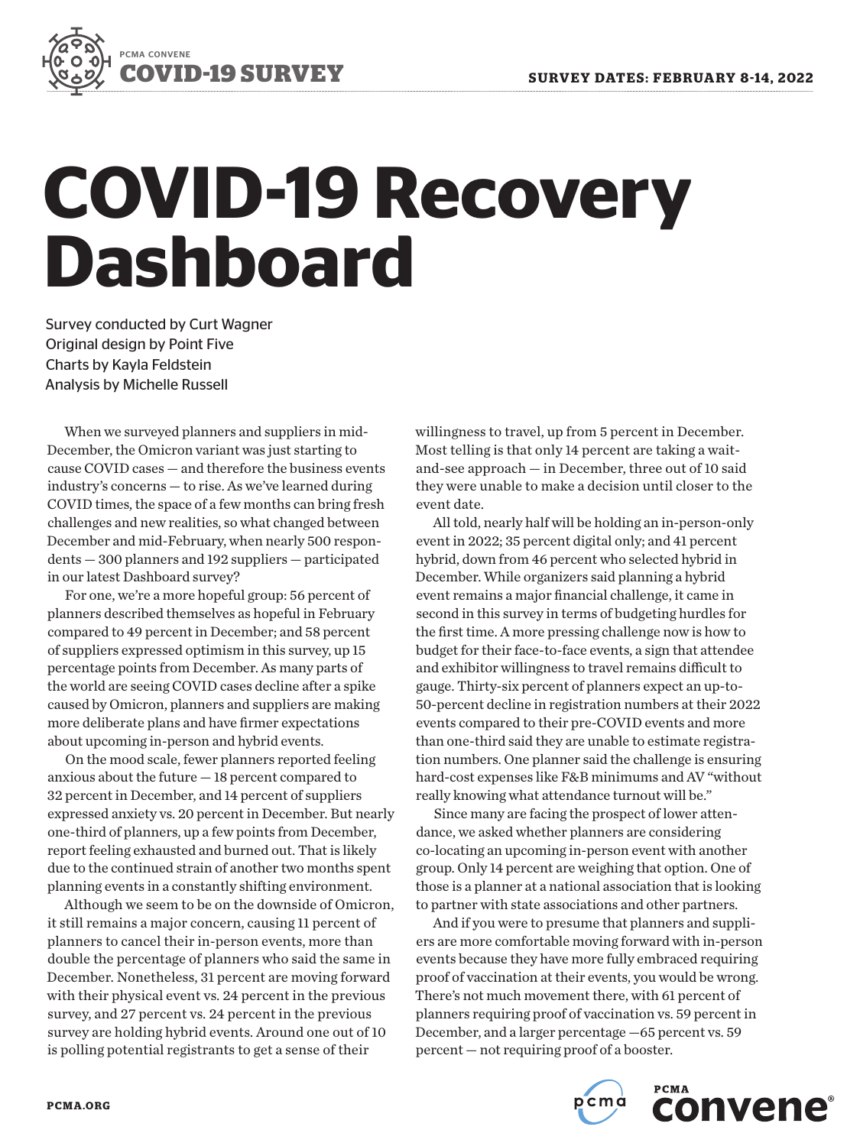

# **COVID-19 Recovery Dashboard**

Survey conducted by Curt Wagner Original design by Point Five Charts by Kayla Feldstein Analysis by Michelle Russell

When we surveyed planners and suppliers in mid-December, the Omicron variant was just starting to cause COVID cases — and therefore the business events industry's concerns — to rise. As we've learned during COVID times, the space of a few months can bring fresh challenges and new realities, so what changed between December and mid-February, when nearly 500 respondents — 300 planners and 192 suppliers — participated in our latest Dashboard survey?

For one, we're a more hopeful group: 56 percent of planners described themselves as hopeful in February compared to 49 percent in December; and 58 percent of suppliers expressed optimism in this survey, up 15 percentage points from December. As many parts of the world are seeing COVID cases decline after a spike caused by Omicron, planners and suppliers are making more deliberate plans and have firmer expectations about upcoming in-person and hybrid events.

On the mood scale, fewer planners reported feeling anxious about the future — 18 percent compared to 32 percent in December, and 14 percent of suppliers expressed anxiety vs. 20 percent in December. But nearly one-third of planners, up a few points from December, report feeling exhausted and burned out. That is likely due to the continued strain of another two months spent planning events in a constantly shifting environment.

Although we seem to be on the downside of Omicron, it still remains a major concern, causing 11 percent of planners to cancel their in-person events, more than double the percentage of planners who said the same in December. Nonetheless, 31 percent are moving forward with their physical event vs. 24 percent in the previous survey, and 27 percent vs. 24 percent in the previous survey are holding hybrid events. Around one out of 10 is polling potential registrants to get a sense of their

willingness to travel, up from 5 percent in December. Most telling is that only 14 percent are taking a waitand-see approach — in December, three out of 10 said they were unable to make a decision until closer to the event date.

All told, nearly half will be holding an in-person-only event in 2022; 35 percent digital only; and 41 percent hybrid, down from 46 percent who selected hybrid in December. While organizers said planning a hybrid event remains a major financial challenge, it came in second in this survey in terms of budgeting hurdles for the first time. A more pressing challenge now is how to budget for their face-to-face events, a sign that attendee and exhibitor willingness to travel remains difficult to gauge. Thirty-six percent of planners expect an up-to-50-percent decline in registration numbers at their 2022 events compared to their pre-COVID events and more than one-third said they are unable to estimate registration numbers. One planner said the challenge is ensuring hard-cost expenses like F&B minimums and AV "without really knowing what attendance turnout will be."

Since many are facing the prospect of lower attendance, we asked whether planners are considering co-locating an upcoming in-person event with another group. Only 14 percent are weighing that option. One of those is a planner at a national association that is looking to partner with state associations and other partners.

And if you were to presume that planners and suppliers are more comfortable moving forward with in-person events because they have more fully embraced requiring proof of vaccination at their events, you would be wrong. There's not much movement there, with 61 percent of planners requiring proof of vaccination vs. 59 percent in December, and a larger percentage —65 percent vs. 59 percent — not requiring proof of a booster.



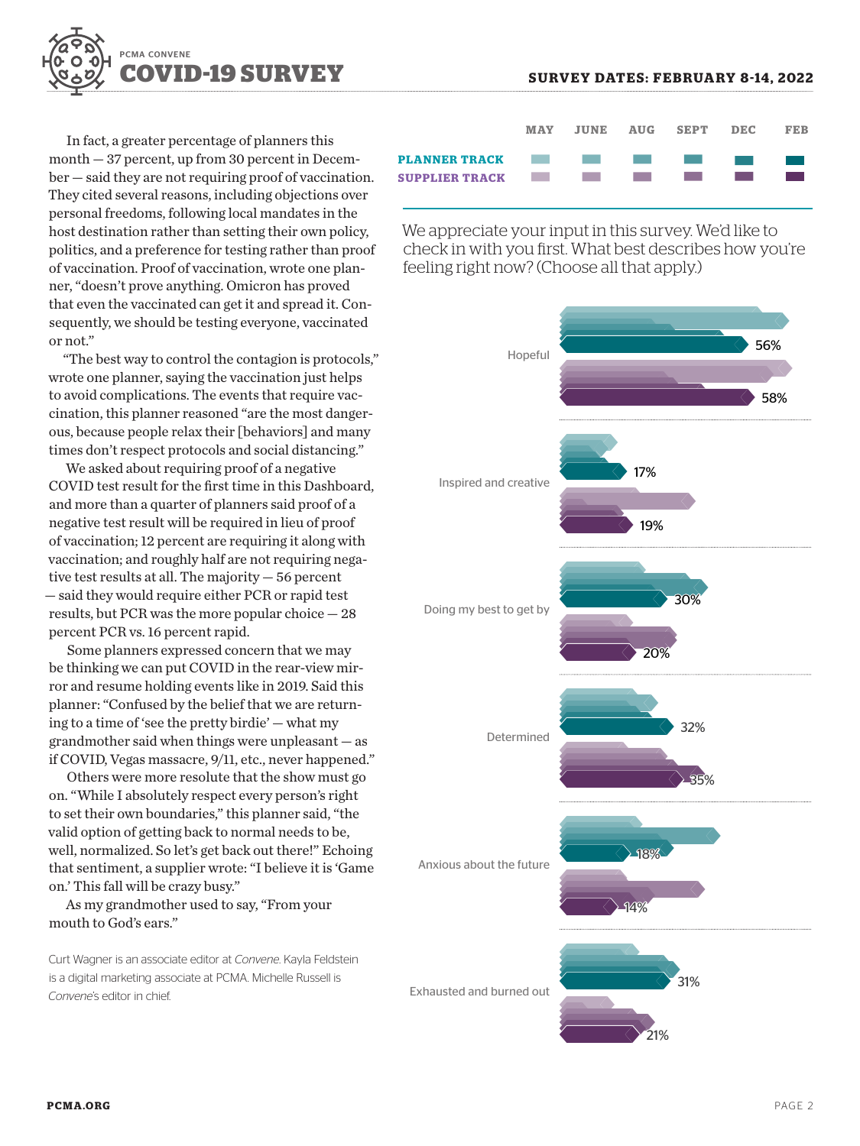

In fact, a greater percentage of planners this month — 37 percent, up from 30 percent in December — said they are not requiring proof of vaccination. They cited several reasons, including objections over personal freedoms, following local mandates in the host destination rather than setting their own policy, politics, and a preference for testing rather than proof of vaccination. Proof of vaccination, wrote one planner, "doesn't prove anything. Omicron has proved that even the vaccinated can get it and spread it. Consequently, we should be testing everyone, vaccinated or not."

"The best way to control the contagion is protocols," wrote one planner, saying the vaccination just helps to avoid complications. The events that require vaccination, this planner reasoned "are the most dangerous, because people relax their [behaviors] and many times don't respect protocols and social distancing."

We asked about requiring proof of a negative COVID test result for the first time in this Dashboard, and more than a quarter of planners said proof of a negative test result will be required in lieu of proof of vaccination; 12 percent are requiring it along with vaccination; and roughly half are not requiring negative test results at all. The majority — 56 percent — said they would require either PCR or rapid test results, but PCR was the more popular choice — 28 percent PCR vs. 16 percent rapid.

Some planners expressed concern that we may be thinking we can put COVID in the rear-view mirror and resume holding events like in 2019. Said this planner: "Confused by the belief that we are returning to a time of 'see the pretty birdie' — what my grandmother said when things were unpleasant — as if COVID, Vegas massacre, 9/11, etc., never happened."

Others were more resolute that the show must go on. "While I absolutely respect every person's right to set their own boundaries," this planner said, "the valid option of getting back to normal needs to be, well, normalized. So let's get back out there!" Echoing that sentiment, a supplier wrote: "I believe it is 'Game on.' This fall will be crazy busy."

As my grandmother used to say, "From your mouth to God's ears."

Curt Wagner is an associate editor at *Convene*. Kayla Feldstein is a digital marketing associate at PCMA. Michelle Russell is *Convene*'s editor in chief.



We appreciate your input in this survey. We'd like to check in with you first. What best describes how you're feeling right now? (Choose all that apply.)

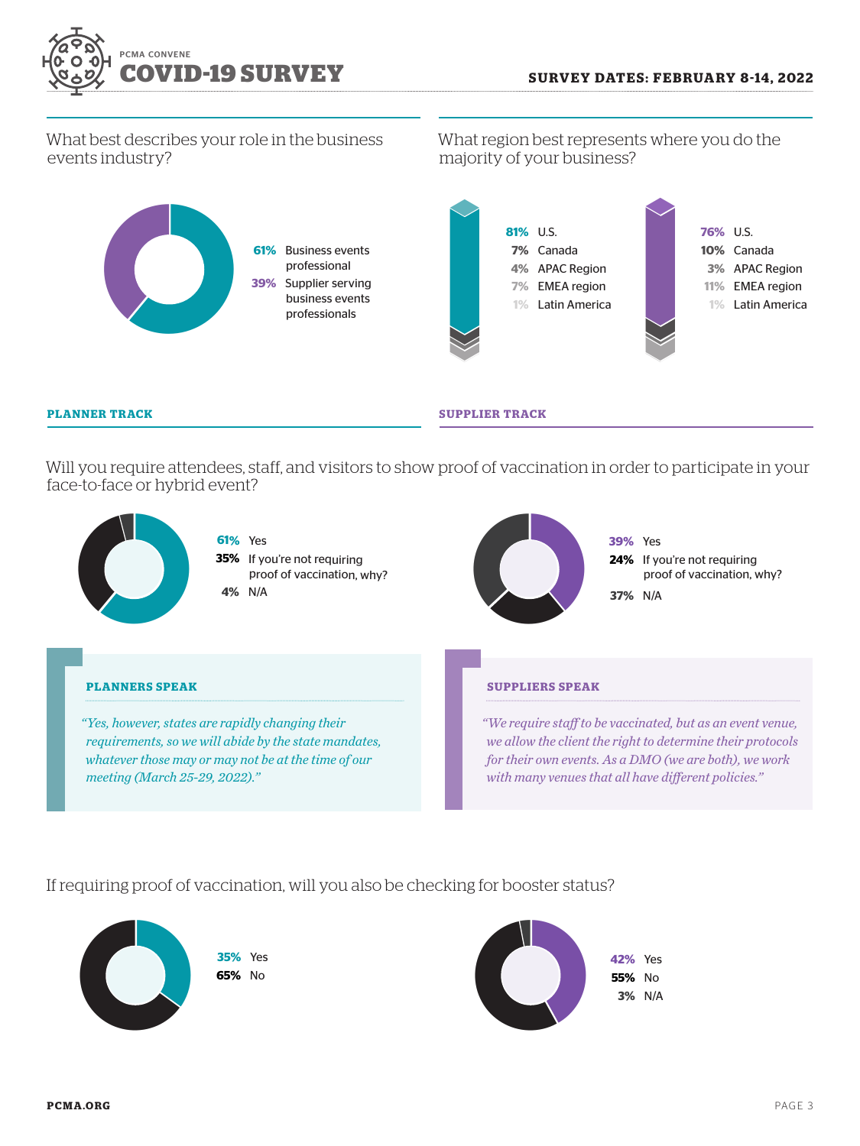

0

# What best describes your role in the business events industry?

**61%** Business events professional **39%** Supplier serving business events professionals

What region best represents where you do the majority of your business?



#### **PLANNER TRACK SUPPLIER TRACK**

Will you require attendees, staff, and visitors to show proof of vaccination in order to participate in your face-to-face or hybrid event?



# If requiring proof of vaccination, will you also be checking for booster status?

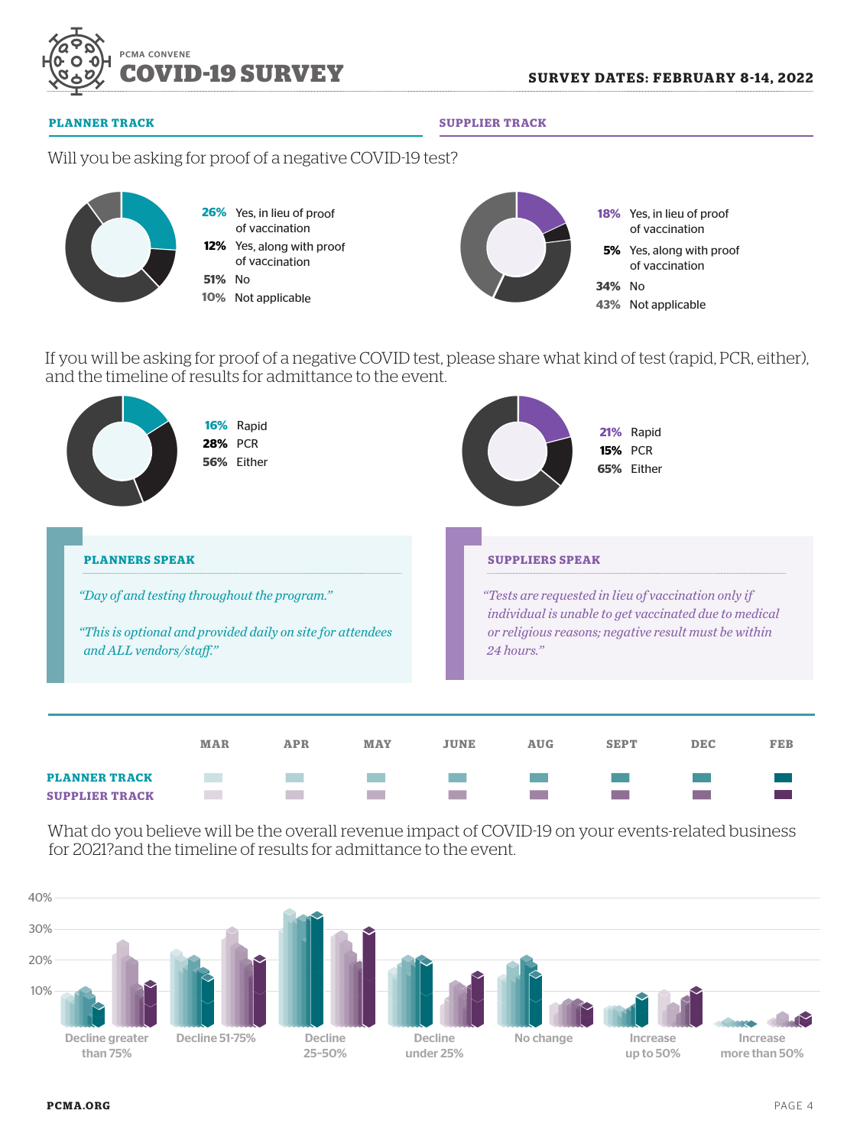

**PLANNER TRACK SUPPLIER TRACK**

# Will you be asking for proof of a negative COVID-19 test?



If you will be asking for proof of a negative COVID test, please share what kind of test (rapid, PCR, either), and the timeline of results for admittance to the event.



What do you believe will be the overall revenue impact of COVID-19 on your events-related business for 2021?and the timeline of results for admittance to the event.

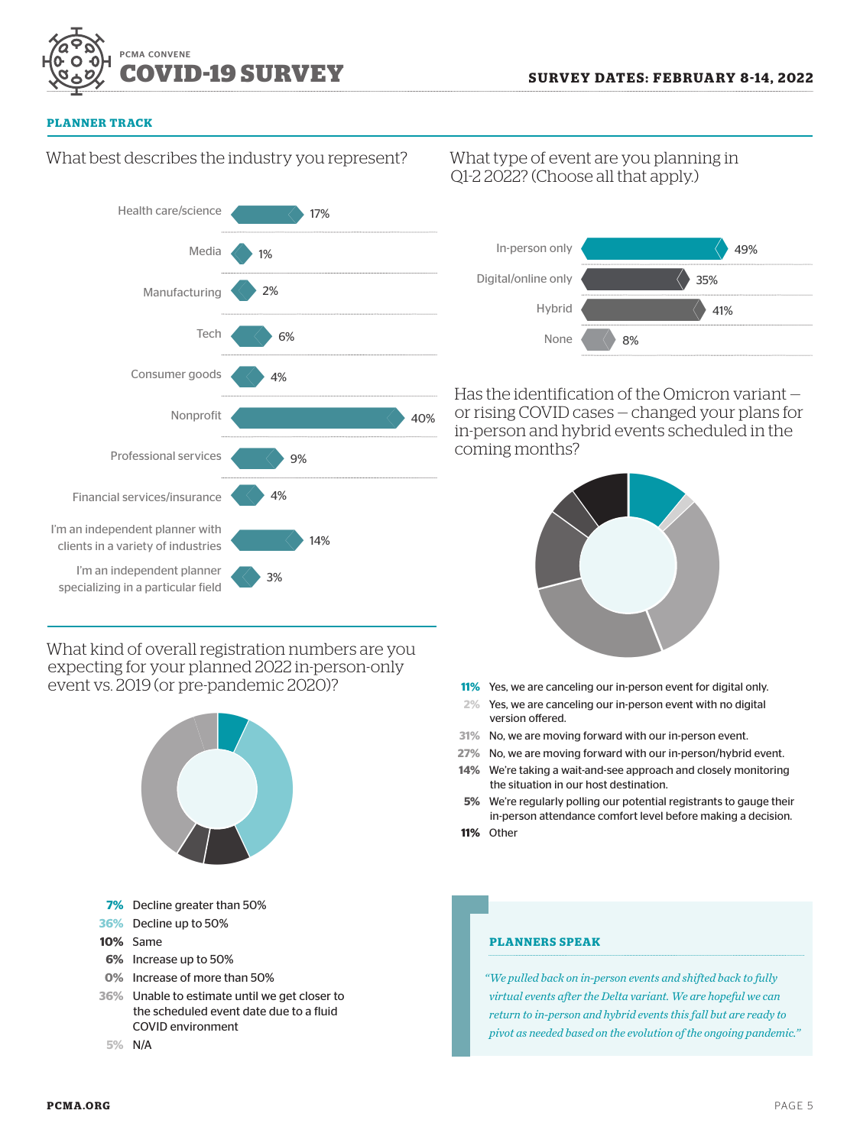

#### **PLANNER TRACK**

# What best describes the industry you represent?



What kind of overall registration numbers are you expecting for your planned 2022 in-person-only event vs. 2019 (or pre-pandemic 2020)?



# What type of event are you planning in Q1-2 2022? (Choose all that apply.)



Has the identification of the Omicron variant or rising COVID cases — changed your plans for in-person and hybrid events scheduled in the coming months?



- **11%** Yes, we are canceling our in-person event for digital only.
- **2%** Yes, we are canceling our in-person event with no digital version offered.
- **31%** No, we are moving forward with our in-person event.
- **27%** No, we are moving forward with our in-person/hybrid event.
- **14%** We're taking a wait-and-see approach and closely monitoring the situation in our host destination.
- **5%** We're regularly polling our potential registrants to gauge their in-person attendance comfort level before making a decision.
- **11%** Other

## **PLANNERS SPEAK**

*"We pulled back on in-person events and shifted back to fully virtual events after the Delta variant. We are hopeful we can return to in-person and hybrid events this fall but are ready to pivot as needed based on the evolution of the ongoing pandemic."*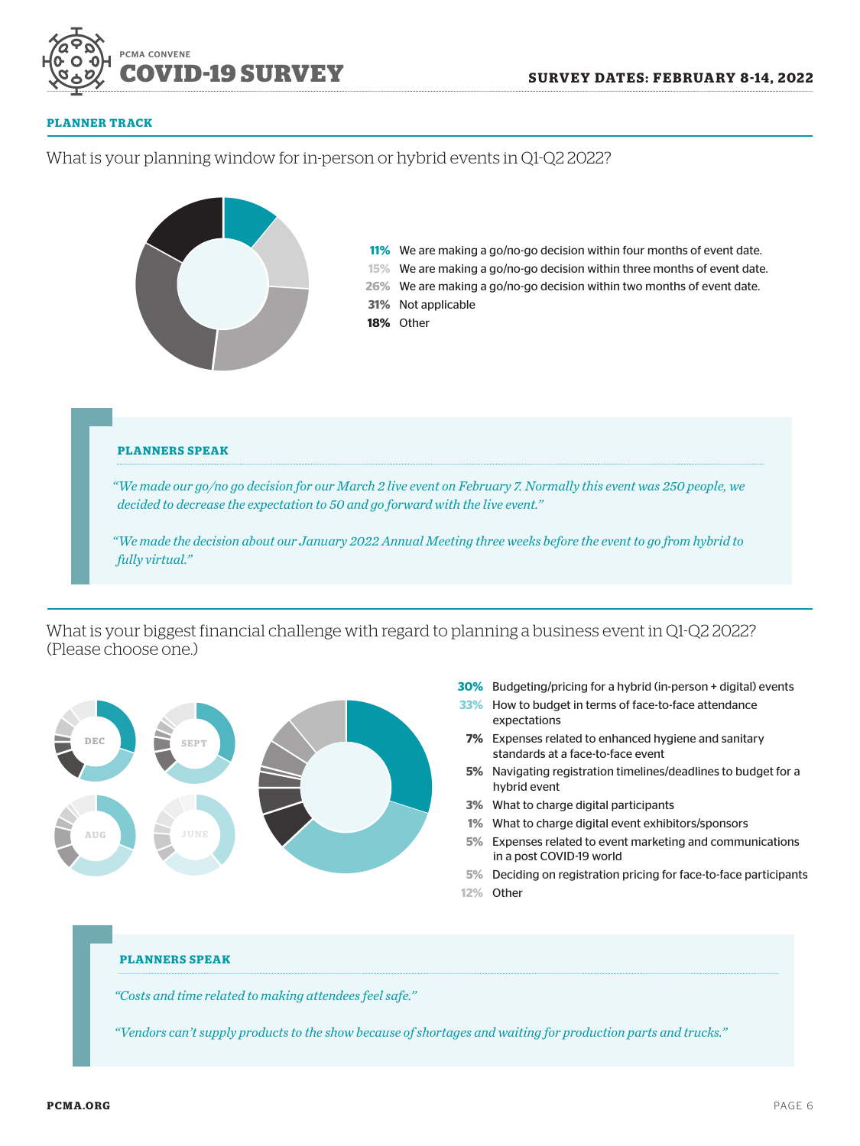

#### **PLANNER TRACK**



What is your biggest financial challenge with regard to planning a business event in Q1-Q2 2022? (Please choose one.)



- **30%** Budgeting/pricing for a hybrid (in-person + digital) events
- **33%** How to budget in terms of face-to-face attendance expectations
- **7%** Expenses related to enhanced hygiene and sanitary standards at a face-to-face event
- **5%** Navigating registration timelines/deadlines to budget for a hybrid event
- **3%** What to charge digital participants
- **1%** What to charge digital event exhibitors/sponsors
- **5%** Expenses related to event marketing and communications in a post COVID-19 world
- 
- **12%** Other

#### **PLANNERS SPEAK**

*"Costs and time related to making attendees feel safe."*

*"Vendors can't supply products to the show because of shortages and waiting for production parts and trucks."*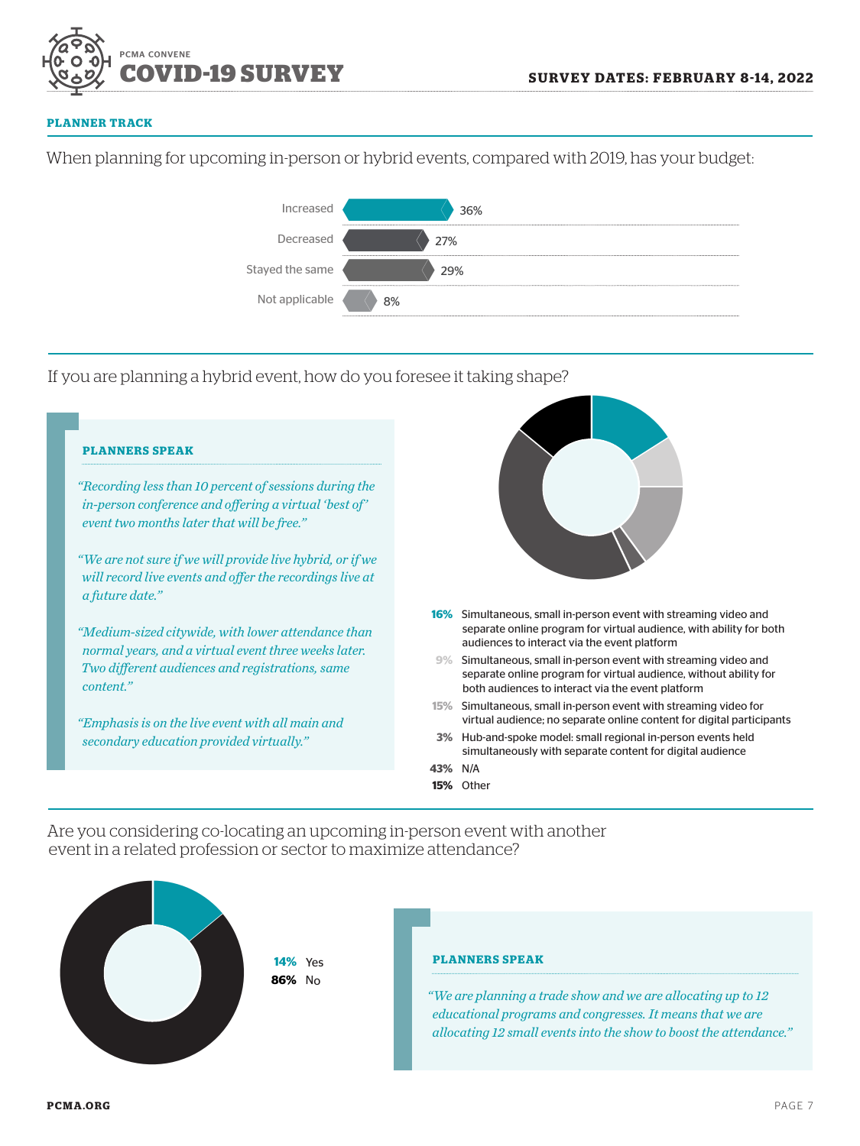

#### **PLANNER TRACK**

When planning for upcoming in-person or hybrid events, compared with 2019, has your budget:



If you are planning a hybrid event, how do you foresee it taking shape?



Are you considering co-locating an upcoming in-person event with another event in a related profession or sector to maximize attendance?



**86%** No

### **PLANNERS SPEAK**

*"We are planning a trade show and we are allocating up to 12*